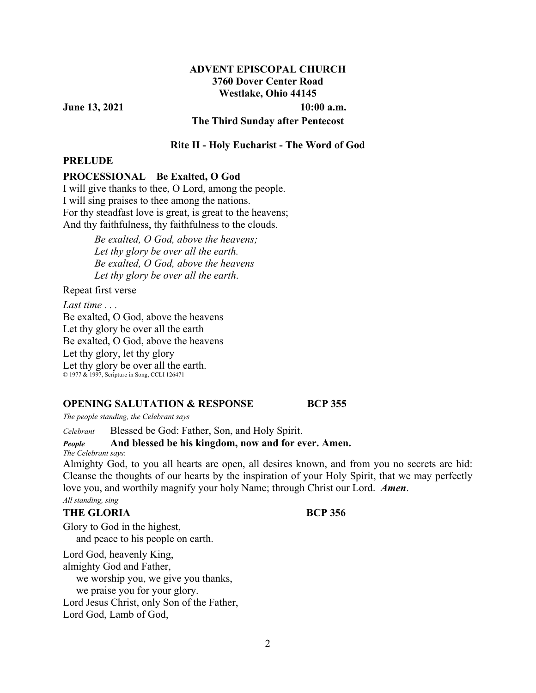## **ADVENT EPISCOPAL CHURCH 3760 Dover Center Road Westlake, Ohio 44145**

**June 13, 2021** 10:00 a.m.

**The Third Sunday after Pentecost** 

## **Rite II - Holy Eucharist - The Word of God**

### **PRELUDE**

### **PROCESSIONAL Be Exalted, O God**

I will give thanks to thee, O Lord, among the people. I will sing praises to thee among the nations. For thy steadfast love is great, is great to the heavens; And thy faithfulness, thy faithfulness to the clouds.

> *Be exalted, O God, above the heavens; Let thy glory be over all the earth. Be exalted, O God, above the heavens Let thy glory be over all the earth*.

Repeat first verse

*Last time . . .*  Be exalted, O God, above the heavens Let thy glory be over all the earth Be exalted, O God, above the heavens Let thy glory, let thy glory Let thy glory be over all the earth. © 1977 & 1997, Scripture in Song, CCLI 126471

#### **OPENING SALUTATION & RESPONSE BCP 355**

*The people standing, the Celebrant says* 

*Celebrant* Blessed be God: Father, Son, and Holy Spirit.

## *People* **And blessed be his kingdom, now and for ever. Amen.**

*The Celebrant says*:

Almighty God, to you all hearts are open, all desires known, and from you no secrets are hid: Cleanse the thoughts of our hearts by the inspiration of your Holy Spirit, that we may perfectly love you, and worthily magnify your holy Name; through Christ our Lord. *Amen*. *All standing, sing*

# **THE GLORIA BCP 356**

Glory to God in the highest, and peace to his people on earth.

Lord God, heavenly King, almighty God and Father,

 we worship you, we give you thanks, we praise you for your glory.

Lord Jesus Christ, only Son of the Father,

Lord God, Lamb of God,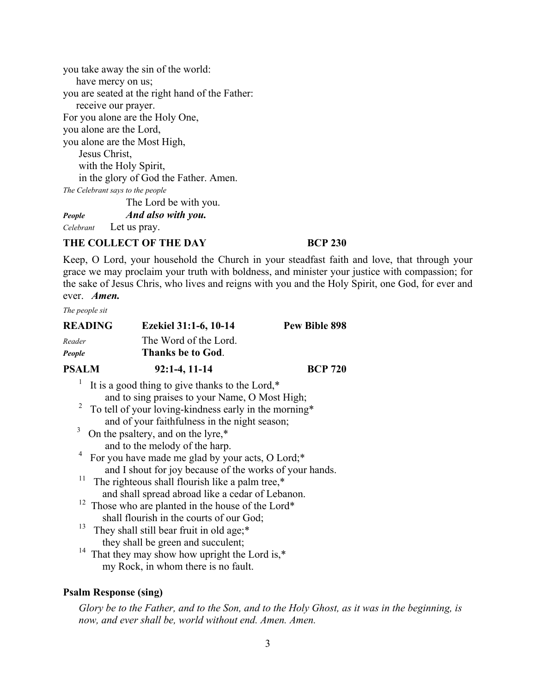you take away the sin of the world: have mercy on us; you are seated at the right hand of the Father: receive our prayer. For you alone are the Holy One, you alone are the Lord, you alone are the Most High, Jesus Christ, with the Holy Spirit, in the glory of God the Father. Amen. *The Celebrant says to the people*  The Lord be with you.

*People**And also with you.*

*Celebrant* Let us pray.

## THE COLLECT OF THE DAY **BCP 230**

Keep, O Lord, your household the Church in your steadfast faith and love, that through your grace we may proclaim your truth with boldness, and minister your justice with compassion; for the sake of Jesus Chris, who lives and reigns with you and the Holy Spirit, one God, for ever and ever. *Amen.*

*The people sit* 

| <b>READING</b>          | Ezekiel 31:1-6, 10-14                                         | <b>Pew Bible 898</b> |
|-------------------------|---------------------------------------------------------------|----------------------|
| Reader                  | The Word of the Lord.                                         |                      |
| People                  | <b>Thanks be to God.</b>                                      |                      |
| <b>PSALM</b>            | $92:1-4, 11-14$                                               | <b>BCP 720</b>       |
|                         | It is a good thing to give thanks to the Lord,*               |                      |
|                         | and to sing praises to your Name, O Most High;                |                      |
| $\overline{\mathbf{c}}$ | To tell of your loving-kindness early in the morning*         |                      |
|                         | and of your faithfulness in the night season;                 |                      |
| 3                       | On the psaltery, and on the lyre,*                            |                      |
|                         | and to the melody of the harp.                                |                      |
|                         | <sup>4</sup> For you have made me glad by your acts, O Lord;* |                      |
|                         | and I shout for joy because of the works of your hands.       |                      |
| 11                      | The righteous shall flourish like a palm tree,*               |                      |
|                         | and shall spread abroad like a cedar of Lebanon.              |                      |
|                         | <sup>12</sup> Those who are planted in the house of the Lord* |                      |
|                         | shall flourish in the courts of our God;                      |                      |
| 13                      | They shall still bear fruit in old age;*                      |                      |
|                         | they shall be green and succulent;                            |                      |
|                         | <sup>14</sup> That they may show how upright the Lord is, $*$ |                      |

my Rock, in whom there is no fault.

## **Psalm Response (sing)**

*Glory be to the Father, and to the Son, and to the Holy Ghost, as it was in the beginning, is now, and ever shall be, world without end. Amen. Amen.*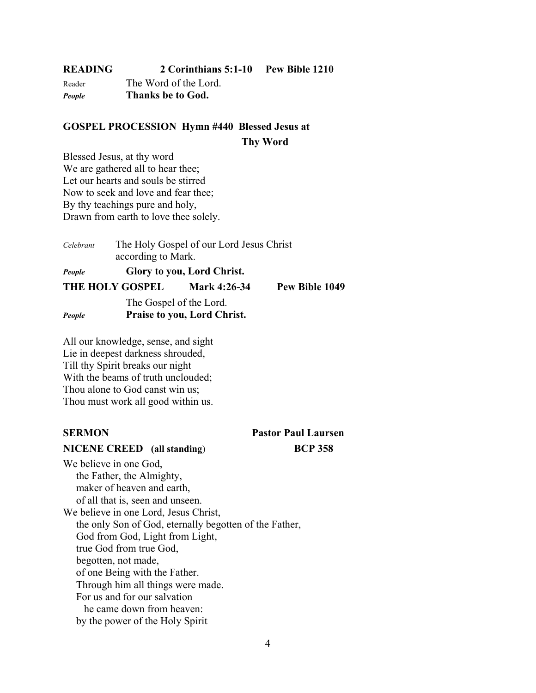| READING | 2 Corinthians 5:1-10  | Pew Bible 1210 |
|---------|-----------------------|----------------|
| Reader  | The Word of the Lord. |                |

*People* **Thanks be to God.** 

## **GOSPEL PROCESSION Hymn #440 Blessed Jesus at**

 **Thy Word** 

Blessed Jesus, at thy word We are gathered all to hear thee; Let our hearts and souls be stirred Now to seek and love and fear thee; By thy teachings pure and holy, Drawn from earth to love thee solely.

| Celebrant | according to Mark.      | The Holy Gospel of our Lord Jesus Christ |                |
|-----------|-------------------------|------------------------------------------|----------------|
| People    |                         | Glory to you, Lord Christ.               |                |
|           | <b>THE HOLY GOSPEL</b>  | Mark 4:26-34                             | Pew Bible 1049 |
| People    | The Gospel of the Lord. | Praise to you, Lord Christ.              |                |

All our knowledge, sense, and sight Lie in deepest darkness shrouded, Till thy Spirit breaks our night With the beams of truth unclouded; Thou alone to God canst win us; Thou must work all good within us.

### **NICENE CREED (all standing**) **BCP 358**

**SERMON Pastor Paul Laursen** 

We believe in one God, the Father, the Almighty, maker of heaven and earth, of all that is, seen and unseen. We believe in one Lord, Jesus Christ, the only Son of God, eternally begotten of the Father, God from God, Light from Light, true God from true God, begotten, not made, of one Being with the Father. Through him all things were made. For us and for our salvation he came down from heaven: by the power of the Holy Spirit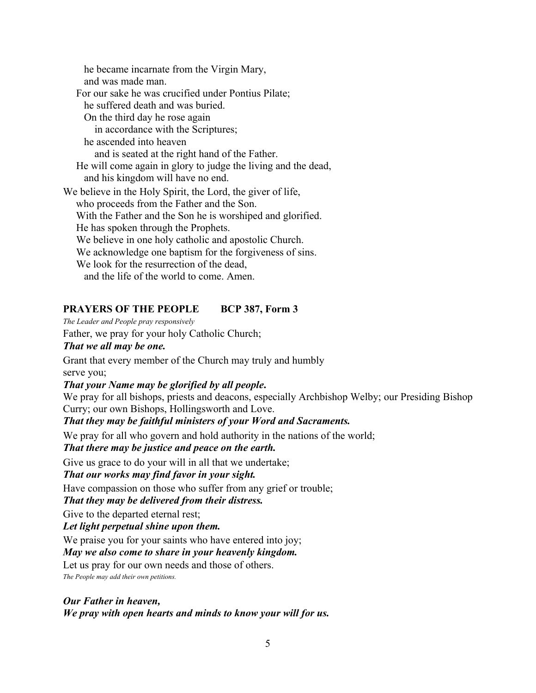he became incarnate from the Virgin Mary, and was made man. For our sake he was crucified under Pontius Pilate; he suffered death and was buried. On the third day he rose again in accordance with the Scriptures; he ascended into heaven and is seated at the right hand of the Father. He will come again in glory to judge the living and the dead, and his kingdom will have no end. We believe in the Holy Spirit, the Lord, the giver of life, who proceeds from the Father and the Son. With the Father and the Son he is worshiped and glorified. He has spoken through the Prophets. We believe in one holy catholic and apostolic Church. We acknowledge one baptism for the forgiveness of sins. We look for the resurrection of the dead, and the life of the world to come. Amen.

## **PRAYERS OF THE PEOPLE BCP 387, Form 3**

#### *The Leader and People pray responsively*

Father, we pray for your holy Catholic Church;

## *That we all may be one.*

Grant that every member of the Church may truly and humbly serve you;

### *That your Name may be glorified by all people***.**

We pray for all bishops, priests and deacons, especially Archbishop Welby; our Presiding Bishop Curry; our own Bishops, Hollingsworth and Love.

#### *That they may be faithful ministers of your Word and Sacraments.*

We pray for all who govern and hold authority in the nations of the world;

## *That there may be justice and peace on the earth.*

Give us grace to do your will in all that we undertake;

## *That our works may find favor in your sight.*

Have compassion on those who suffer from any grief or trouble;

## *That they may be delivered from their distress.*

Give to the departed eternal rest;

#### *Let light perpetual shine upon them.*

We praise you for your saints who have entered into joy;

#### *May we also come to share in your heavenly kingdom.*

Let us pray for our own needs and those of others.

*The People may add their own petitions.*

## *Our Father in heaven, We pray with open hearts and minds to know your will for us.*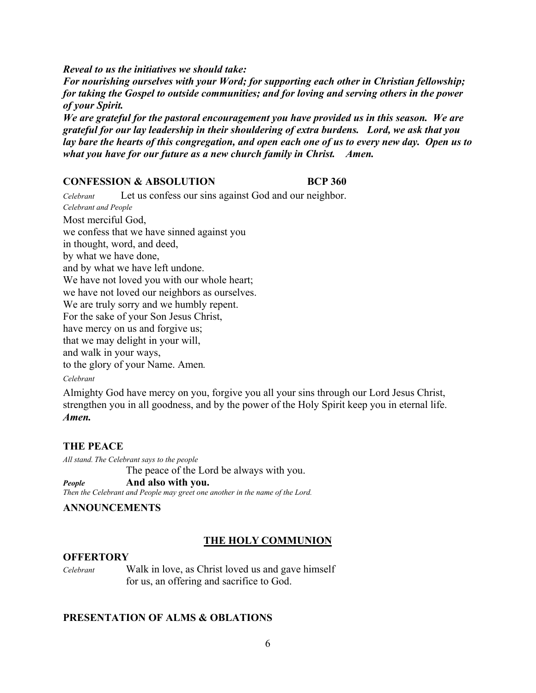*Reveal to us the initiatives we should take: For nourishing ourselves with your Word; for supporting each other in Christian fellowship; for taking the Gospel to outside communities; and for loving and serving others in the power of your Spirit.* 

*We are grateful for the pastoral encouragement you have provided us in this season. We are grateful for our lay leadership in their shouldering of extra burdens. Lord, we ask that you lay bare the hearts of this congregation, and open each one of us to every new day. Open us to what you have for our future as a new church family in Christ. Amen.* 

#### **CONFESSION & ABSOLUTION BCP 360**

*Celebrant* Let us confess our sins against God and our neighbor. *Celebrant and People* Most merciful God, we confess that we have sinned against you in thought, word, and deed, by what we have done, and by what we have left undone. We have not loved you with our whole heart; we have not loved our neighbors as ourselves. We are truly sorry and we humbly repent. For the sake of your Son Jesus Christ, have mercy on us and forgive us; that we may delight in your will, and walk in your ways, to the glory of your Name. Amen*. Celebrant*

Almighty God have mercy on you, forgive you all your sins through our Lord Jesus Christ, strengthen you in all goodness, and by the power of the Holy Spirit keep you in eternal life. *Amen.*

## **THE PEACE**

*All stand. The Celebrant says to the people* The peace of the Lord be always with you.

## *People* **And also with you.**

*Then the Celebrant and People may greet one another in the name of the Lord.* 

## **ANNOUNCEMENTS**

## **THE HOLY COMMUNION**

#### **OFFERTORY**

*Celebrant*Walk in love, as Christ loved us and gave himself for us, an offering and sacrifice to God.

## **PRESENTATION OF ALMS & OBLATIONS**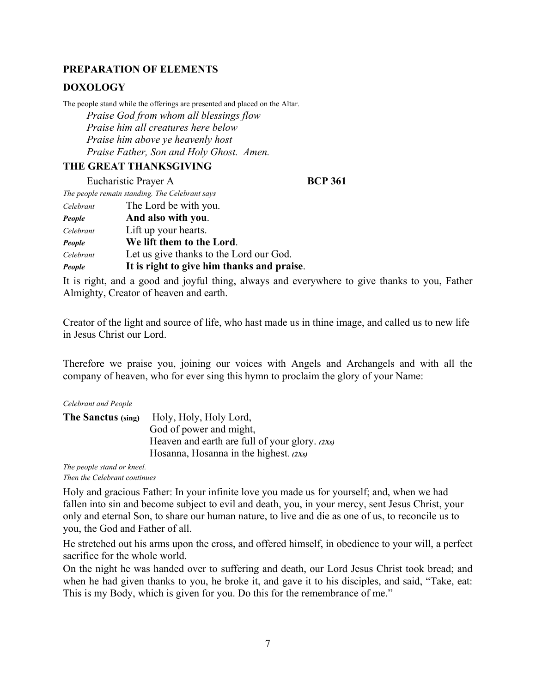## **PREPARATION OF ELEMENTS**

## **DOXOLOGY**

The people stand while the offerings are presented and placed on the Altar.  *Praise God from whom all blessings flow Praise him all creatures here below Praise him above ye heavenly host Praise Father, Son and Holy Ghost. Amen.* 

## **THE GREAT THANKSGIVING**

Eucharistic Prayer A **BCP 361** 

*The people remain standing. The Celebrant says* 

| Celebrant | The Lord be with you.                      |
|-----------|--------------------------------------------|
| People    | And also with you.                         |
| Celebrant | Lift up your hearts.                       |
| People    | We lift them to the Lord.                  |
| Celebrant | Let us give thanks to the Lord our God.    |
| People    | It is right to give him thanks and praise. |

It is right, and a good and joyful thing, always and everywhere to give thanks to you, Father Almighty, Creator of heaven and earth.

Creator of the light and source of life, who hast made us in thine image, and called us to new life in Jesus Christ our Lord.

Therefore we praise you, joining our voices with Angels and Archangels and with all the company of heaven, who for ever sing this hymn to proclaim the glory of your Name:

#### *Celebrant and People*

| The Sanctus (sing) | Holy, Holy, Holy Lord,                           |
|--------------------|--------------------------------------------------|
|                    | God of power and might,                          |
|                    | Heaven and earth are full of your glory. $(2Xs)$ |
|                    | Hosanna, Hosanna in the highest. $(2Xs)$         |

*The people stand or kneel. Then the Celebrant continues* 

Holy and gracious Father: In your infinite love you made us for yourself; and, when we had fallen into sin and become subject to evil and death, you, in your mercy, sent Jesus Christ, your only and eternal Son, to share our human nature, to live and die as one of us, to reconcile us to you, the God and Father of all.

He stretched out his arms upon the cross, and offered himself, in obedience to your will, a perfect sacrifice for the whole world.

On the night he was handed over to suffering and death, our Lord Jesus Christ took bread; and when he had given thanks to you, he broke it, and gave it to his disciples, and said, "Take, eat: This is my Body, which is given for you. Do this for the remembrance of me."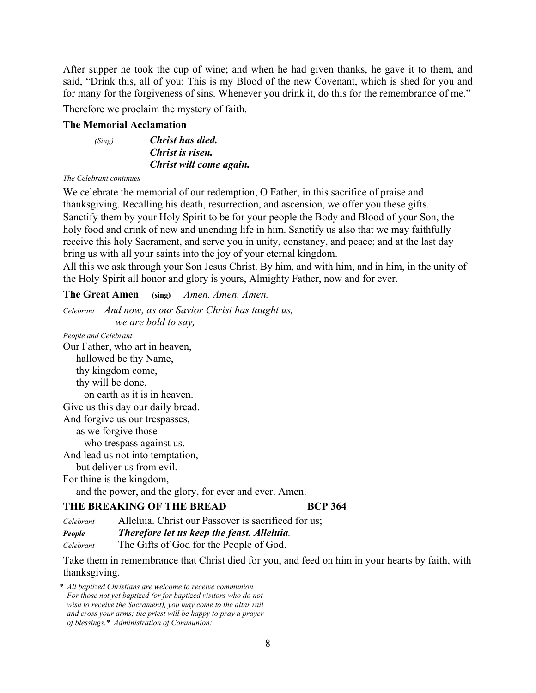After supper he took the cup of wine; and when he had given thanks, he gave it to them, and said, "Drink this, all of you: This is my Blood of the new Covenant, which is shed for you and for many for the forgiveness of sins. Whenever you drink it, do this for the remembrance of me."

Therefore we proclaim the mystery of faith.

#### **The Memorial Acclamation**

 *(Sing)**Christ has died. Christ is risen. Christ will come again.*

#### *The Celebrant continues*

We celebrate the memorial of our redemption, O Father, in this sacrifice of praise and thanksgiving. Recalling his death, resurrection, and ascension, we offer you these gifts. Sanctify them by your Holy Spirit to be for your people the Body and Blood of your Son, the holy food and drink of new and unending life in him. Sanctify us also that we may faithfully receive this holy Sacrament, and serve you in unity, constancy, and peace; and at the last day bring us with all your saints into the joy of your eternal kingdom.

All this we ask through your Son Jesus Christ. By him, and with him, and in him, in the unity of the Holy Spirit all honor and glory is yours, Almighty Father, now and for ever.

**The Great Amen (sing)** *Amen. Amen. Amen.* 

*Celebrant And now, as our Savior Christ has taught us,* 

 *we are bold to say,* 

*People and Celebrant*  Our Father, who art in heaven, hallowed be thy Name, thy kingdom come, thy will be done, on earth as it is in heaven. Give us this day our daily bread. And forgive us our trespasses, as we forgive those who trespass against us. And lead us not into temptation, but deliver us from evil. For thine is the kingdom,

and the power, and the glory, for ever and ever. Amen.

## **THE BREAKING OF THE BREAD BCP 364**

*Celebrant* Alleluia. Christ our Passover is sacrificed for us; *People Therefore let us keep the feast. Alleluia.*

*Celebrant* The Gifts of God for the People of God.

Take them in remembrance that Christ died for you, and feed on him in your hearts by faith, with thanksgiving.

*\* All baptized Christians are welcome to receive communion. For those not yet baptized (or for baptized visitors who do not wish to receive the Sacrament), you may come to the altar rail and cross your arms; the priest will be happy to pray a prayer of blessings.\* Administration of Communion:*